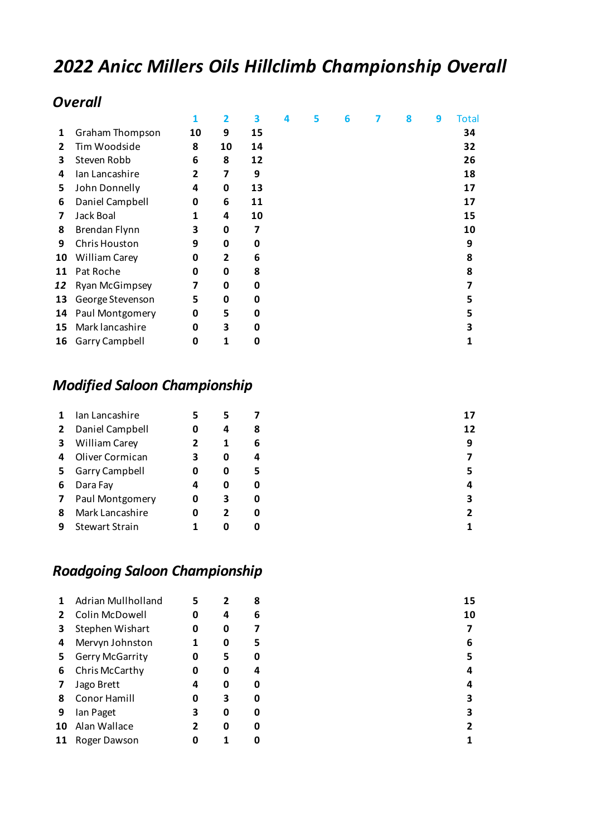# *2022 Anicc Millers Oils Hillclimb Championship Overall*

#### *Overall*

|              |                        |    |    | 3  | 4 | 5 | 6 | 8 | 9 | Total |
|--------------|------------------------|----|----|----|---|---|---|---|---|-------|
| 1            | <b>Graham Thompson</b> | 10 | 9  | 15 |   |   |   |   |   | 34    |
| $\mathbf{2}$ | Tim Woodside           | 8  | 10 | 14 |   |   |   |   |   | 32    |
| 3            | Steven Robb            | 6  | 8  | 12 |   |   |   |   |   | 26    |
| 4            | Ian Lancashire         | 2  | 7  | 9  |   |   |   |   |   | 18    |
| 5            | John Donnelly          | 4  | 0  | 13 |   |   |   |   |   | 17    |
| 6            | Daniel Campbell        | 0  | 6  | 11 |   |   |   |   |   | 17    |
| 7            | Jack Boal              | 1  | 4  | 10 |   |   |   |   |   | 15    |
| 8            | Brendan Flynn          | 3  | 0  | 7  |   |   |   |   |   | 10    |
| 9            | Chris Houston          | 9  | 0  | O  |   |   |   |   |   | 9     |
| 10           | <b>William Carey</b>   | 0  | 2  | 6  |   |   |   |   |   | 8     |
| 11           | Pat Roche              | 0  | 0  | 8  |   |   |   |   |   | 8     |
| 12           | <b>Ryan McGimpsey</b>  | 7  | 0  | O  |   |   |   |   |   |       |
| 13           | George Stevenson       | 5  | 0  | O  |   |   |   |   |   | 5     |
| 14           | Paul Montgomery        | 0  | 5  | O  |   |   |   |   |   | 5     |
| 15           | Mark lancashire        | 0  | 3  | O  |   |   |   |   |   |       |
| 16           | Garry Campbell         | 0  | 1  | O  |   |   |   |   |   |       |

#### *Modified Saloon Championship*

|              | Ian Lancashire        |   | 5 |   | 17 |
|--------------|-----------------------|---|---|---|----|
| $\mathbf{2}$ | Daniel Campbell       | 0 | 4 | 8 | 12 |
| 3            | <b>William Carey</b>  |   |   | 6 | 9  |
| 4            | Oliver Cormican       |   | 0 | 4 |    |
| 5.           | <b>Garry Campbell</b> | 0 | 0 | 5 | 5  |
| 6            | Dara Fay              | 4 | 0 | 0 | 4  |
| 7            | Paul Montgomery       | 0 | 3 | 0 | 3  |
| 8            | Mark Lancashire       | 0 | 2 | 0 | 2  |
| 9            | <b>Stewart Strain</b> |   | 0 | 0 |    |

### *Roadgoing Saloon Championship*

|    | Adrian Mullholland | 5 | $\overline{2}$ | 8 | 15 |
|----|--------------------|---|----------------|---|----|
| 2  | Colin McDowell     | 0 | 4              | 6 | 10 |
| 3  | Stephen Wishart    | 0 | 0              | 7 | 7  |
| 4  | Mervyn Johnston    |   | 0              | 5 | 6  |
| 5. | Gerry McGarrity    | 0 | 5              | 0 | 5  |
| 6  | Chris McCarthy     | 0 | 0              | 4 | 4  |
|    | Jago Brett         | 4 | 0              | 0 | 4  |
| 8  | Conor Hamill       | 0 | 3              | 0 | 3  |
| 9  | Ian Paget          | 3 | 0              | 0 | 3  |
| 10 | Alan Wallace       | 2 | 0              | 0 | 2  |
| 11 | Roger Dawson       |   |                | 0 |    |